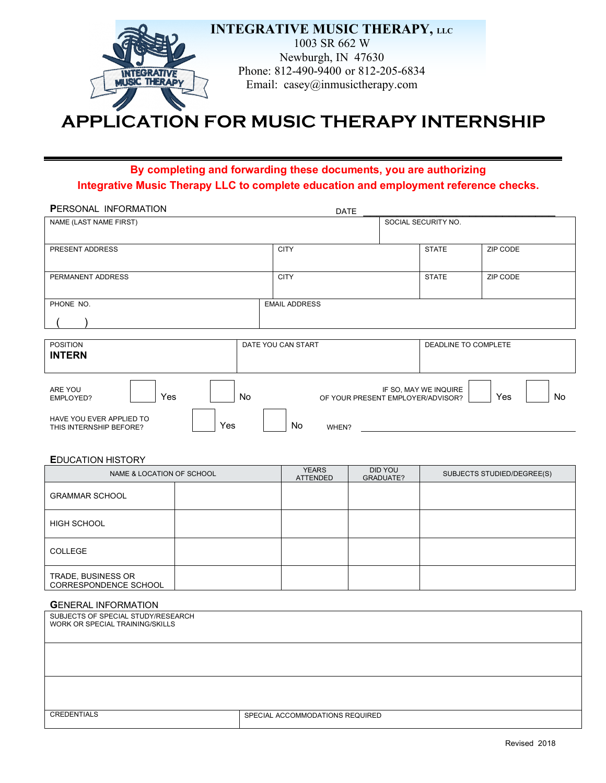

# **APPLICATION FOR MUSIC THERAPY INTERNSHIP**

## **By completing and forwarding these documents, you are authorizing Integrative Music Therapy LLC to complete education and employment reference checks.**

| <b>PERSONAL INFORMATION</b>                                | <b>DATE</b>          |                                                            |                  |
|------------------------------------------------------------|----------------------|------------------------------------------------------------|------------------|
| NAME (LAST NAME FIRST)                                     |                      | SOCIAL SECURITY NO.                                        |                  |
|                                                            |                      |                                                            |                  |
| PRESENT ADDRESS                                            | <b>CITY</b>          | <b>STATE</b>                                               | ZIP CODE         |
|                                                            |                      |                                                            |                  |
| PERMANENT ADDRESS                                          | <b>CITY</b>          | <b>STATE</b>                                               | ZIP CODE         |
|                                                            |                      |                                                            |                  |
| PHONE NO.                                                  | <b>EMAIL ADDRESS</b> |                                                            |                  |
|                                                            |                      |                                                            |                  |
|                                                            |                      |                                                            |                  |
| <b>POSITION</b>                                            | DATE YOU CAN START   | DEADLINE TO COMPLETE                                       |                  |
| <b>INTERN</b>                                              |                      |                                                            |                  |
| ARE YOU<br>Yes<br>No.<br>EMPLOYED?                         |                      | IF SO, MAY WE INQUIRE<br>OF YOUR PRESENT EMPLOYER/ADVISOR? | Yes<br><b>No</b> |
| HAVE YOU EVER APPLIED TO<br>Yes<br>THIS INTERNSHIP BEFORE? | <b>No</b><br>WHEN?   |                                                            |                  |

**E**DUCATION HISTORY

| NAME & LOCATION OF SCHOOL                   |  | <b>YEARS</b><br><b>ATTENDED</b> | DID YOU<br>GRADUATE? | SUBJECTS STUDIED/DEGREE(S) |
|---------------------------------------------|--|---------------------------------|----------------------|----------------------------|
| <b>GRAMMAR SCHOOL</b>                       |  |                                 |                      |                            |
| <b>HIGH SCHOOL</b>                          |  |                                 |                      |                            |
| <b>COLLEGE</b>                              |  |                                 |                      |                            |
| TRADE, BUSINESS OR<br>CORRESPONDENCE SCHOOL |  |                                 |                      |                            |

#### **G**ENERAL INFORMATION

| SUBJECTS OF SPECIAL STUDY/RESEARCH<br>WORK OR SPECIAL TRAINING/SKILLS |                                 |
|-----------------------------------------------------------------------|---------------------------------|
|                                                                       |                                 |
|                                                                       |                                 |
| <b>CREDENTIALS</b>                                                    | SPECIAL ACCOMMODATIONS REQUIRED |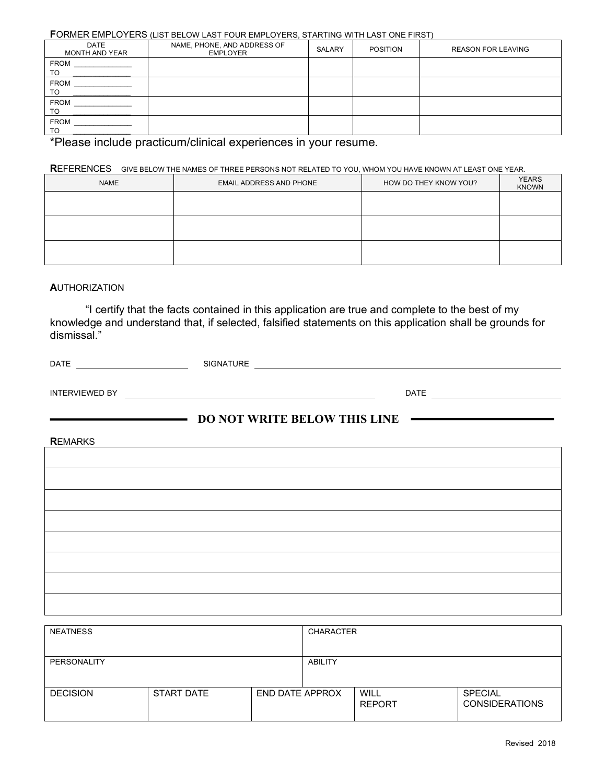|  | FORMER EMPLOYERS (LIST BELOW LAST FOUR EMPLOYERS, STARTING WITH LAST ONE FIRST) |  |
|--|---------------------------------------------------------------------------------|--|
|--|---------------------------------------------------------------------------------|--|

| <b>DATE</b><br><b>MONTH AND YEAR</b> | NAME, PHONE, AND ADDRESS OF<br><b>EMPLOYER</b> | SALARY | <b>POSITION</b> | <b>REASON FOR LEAVING</b> |
|--------------------------------------|------------------------------------------------|--------|-----------------|---------------------------|
| <b>FROM</b><br><b>TO</b>             |                                                |        |                 |                           |
| <b>FROM</b><br>TO                    |                                                |        |                 |                           |
| <b>FROM</b><br>TO                    |                                                |        |                 |                           |
| <b>FROM</b><br>TO                    |                                                |        |                 |                           |

\*Please include practicum/clinical experiences in your resume.

## **R**EFERENCES GIVE BELOW THE NAMES OF THREE PERSONS NOT RELATED TO YOU, WHOM YOU HAVE KNOWN AT LEAST ONE YEAR.

| <b>NAME</b> | EMAIL ADDRESS AND PHONE | HOW DO THEY KNOW YOU? | <b>YEARS</b><br><b>KNOWN</b> |
|-------------|-------------------------|-----------------------|------------------------------|
|             |                         |                       |                              |
|             |                         |                       |                              |
|             |                         |                       |                              |

#### **A**UTHORIZATION

"I certify that the facts contained in this application are true and complete to the best of my knowledge and understand that, if selected, falsified statements on this application shall be grounds for dismissal."

| <b>DATE</b>           | <b>SIGNATURE</b> |             |
|-----------------------|------------------|-------------|
|                       |                  |             |
| <b>INTERVIEWED BY</b> |                  | <b>DATE</b> |

## **DO NOT WRITE BELOW THIS LINE**

**R**EMARKS

| <b>NEATNESS</b> |                   |                        | <b>CHARACTER</b> |                       |                                         |
|-----------------|-------------------|------------------------|------------------|-----------------------|-----------------------------------------|
| PERSONALITY     |                   |                        | ABILITY          |                       |                                         |
| <b>DECISION</b> | <b>START DATE</b> | <b>END DATE APPROX</b> |                  | WILL<br><b>REPORT</b> | <b>SPECIAL</b><br><b>CONSIDERATIONS</b> |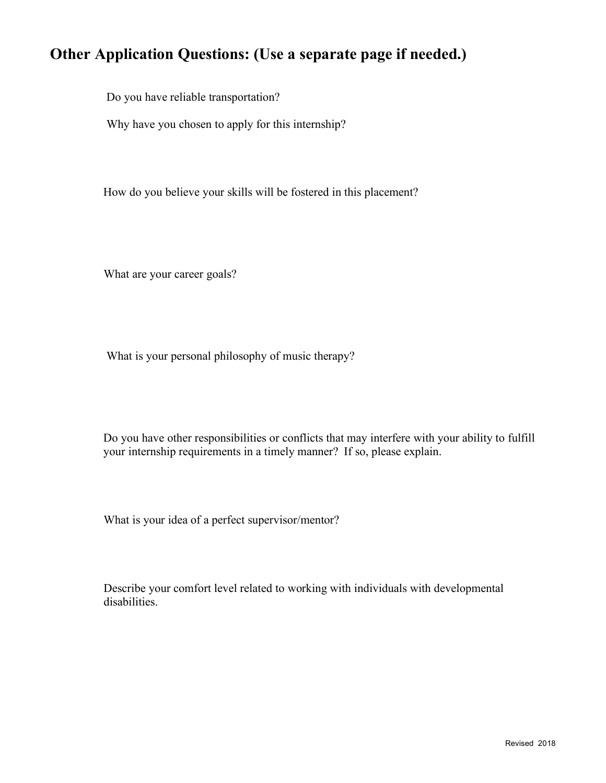## **Other Application Questions: (Use a separate page if needed.)**

Do you have reliable transportation?

Why have you chosen to apply for this internship?

How do you believe your skills will be fostered in this placement?

What are your career goals?

What is your personal philosophy of music therapy?

Do you have other responsibilities or conflicts that may interfere with your ability to fulfill your internship requirements in a timely manner? If so, please explain.

What is your idea of a perfect supervisor/mentor?

 Describe your comfort level related to working with individuals with developmental disabilities.